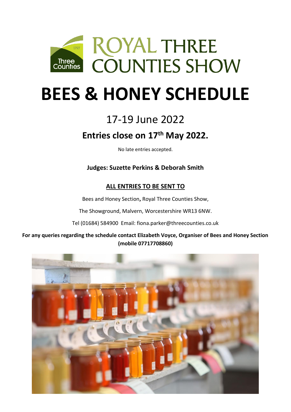

# **BEES & HONEY SCHEDULE**

# 17-19 June 2022

# **Entries close on 17th May 2022.**

No late entries accepted.

**Judges: Suzette Perkins & Deborah Smith**

# **ALL ENTRIES TO BE SENT TO**

Bees and Honey Section**,** Royal Three Counties Show,

The Showground, Malvern, Worcestershire WR13 6NW.

Tel (01684) 584900 Email: fiona.parker@threecounties.co.uk

**For any queries regarding the schedule contact Elizabeth Voyce, Organiser of Bees and Honey Section (mobile 07717708860)**

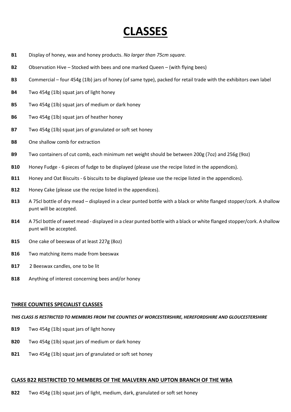# **CLASSES**

- **B1** Display of honey, wax and honey products. *No larger than 75cm square.*
- **B2** Observation Hive Stocked with bees and one marked Queen (with flying bees)
- **B3** Commercial four 454g (1lb) jars of honey (of same type), packed for retail trade with the exhibitors own label
- **B4** Two 454g (1lb) squat jars of light honey
- **B5** Two 454g (1lb) squat jars of medium or dark honey
- **B6** Two 454g (1lb) squat jars of heather honey
- **B7** Two 454g (1lb) squat jars of granulated or soft set honey
- **B8** One shallow comb for extraction
- **B9** Two containers of cut comb, each minimum net weight should be between 200g (7oz) and 256g (9oz)
- **B10** Honey Fudge 6 pieces of fudge to be displayed (please use the recipe listed in the appendices).
- **B11** Honey and Oat Biscuits 6 biscuits to be displayed (please use the recipe listed in the appendices).
- **B12** Honey Cake (please use the recipe listed in the appendices).
- **B13** A 75cl bottle of dry mead displayed in a clear punted bottle with a black or white flanged stopper/cork. A shallow punt will be accepted.
- **B14** A 75cl bottle of sweet mead displayed in a clear punted bottle with a black or white flanged stopper/cork. A shallow punt will be accepted.
- **B15** One cake of beeswax of at least 227g (8oz)
- **B16** Two matching items made from beeswax
- **B17** 2 Beeswax candles, one to be lit
- **B18** Anything of interest concerning bees and/or honey

#### **THREE COUNTIES SPECIALIST CLASSES**

#### *THIS CLASS IS RESTRICTED TO MEMBERS FROM THE COUNTIES OF WORCESTERSHIRE, HEREFORDSHIRE AND GLOUCESTERSHIRE*

- **B19** Two 454g (1lb) squat jars of light honey
- **B20** Two 454g (1lb) squat jars of medium or dark honey
- **B21** Two 454g (1lb) squat jars of granulated or soft set honey

#### **CLASS B22 RESTRICTED TO MEMBERS OF THE MALVERN AND UPTON BRANCH OF THE WBA**

**B22** Two 454g (1lb) squat jars of light, medium, dark, granulated or soft set honey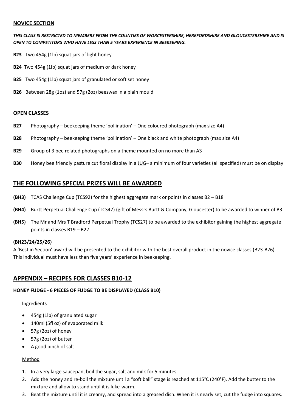#### **NOVICE SECTION**

*THIS CLASS IS RESTRICTED TO MEMBERS FROM THE COUNTIES OF WORCESTERSHIRE, HEREFORDSHIRE AND GLOUCESTERSHIRE AND IS OPEN TO COMPETITORS WHO HAVE LESS THAN 5 YEARS EXPERIENCE IN BEEKEEPING.*

- **B23** Two 454g (1lb) squat jars of light honey
- **B24** Two 454g (1lb) squat jars of medium or dark honey
- **B25** Two 454g (1lb) squat jars of granulated or soft set honey
- **B26** Between 28g (1oz) and 57g (2oz) beeswax in a plain mould

#### **OPEN CLASSES**

- **B27** Photography beekeeping theme 'pollination' One coloured photograph (max size A4)
- **B28** Photography beekeeping theme 'pollination' One black and white photograph (max size A4)
- **B29** Group of 3 bee related photographs on a theme mounted on no more than A3
- **B30** Honey bee friendly pasture cut floral display in a JUG– a minimum of four varieties (all specified) must be on display

#### **THE FOLLOWING SPECIAL PRIZES WILL BE AWARDED**

- **(BH3)** TCAS Challenge Cup (TCS92) for the highest aggregate mark or points in classes B2 B18
- **(BH4)** Burtt Perpetual Challenge Cup (TCS47) (gift of Messrs Burtt & Company, Gloucester) to be awarded to winner of B3
- **(BH5)** The Mr and Mrs T Bradford Perpetual Trophy (TCS27) to be awarded to the exhibitor gaining the highest aggregate points in classes B19 – B22

#### **(BH23/24/25/26)**

A 'Best in Section' award will be presented to the exhibitor with the best overall product in the novice classes (B23-B26). This individual must have less than five years' experience in beekeeping.

### **APPENDIX – RECIPES FOR CLASSES B10-12**

#### **HONEY FUDGE - 6 PIECES OF FUDGE TO BE DISPLAYED (CLASS B10)**

#### Ingredients

- 454g (1lb) of granulated sugar
- 140ml (5fl oz) of evaporated milk
- 57g (2oz) of [honey](http://www.cornwallhoney.co.uk/honey.htm)
- 57g (2oz) of butter
- A good pinch of salt

### Method

- 1. In a very large saucepan, boil the sugar, salt and milk for 5 minutes.
- 2. Add the honey and re-boil the mixture until a "soft ball" stage is reached at 115°C (240°F). Add the butter to the mixture and allow to stand until it is luke-warm.
- 3. Beat the mixture until it is creamy, and spread into a greased dish. When it is nearly set, cut the fudge into squares.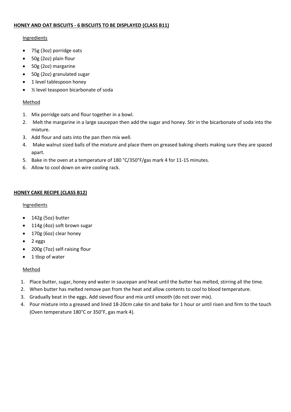#### **HONEY AND OAT BISCUITS - 6 BISCUITS TO BE DISPLAYED (CLASS B11)**

#### **Ingredients**

- 75g (3oz) porridge oats
- 50g (2oz) plain flour
- 50g (2oz) margarine
- 50g (2oz) granulated sugar
- 1 level tablespoon honey
- ½ level teaspoon bicarbonate of soda

#### Method

- 1. Mix porridge oats and flour together in a bowl.
- 2. Melt the margarine in a large saucepan then add the sugar and honey. Stir in the bicarbonate of soda into the mixture.
- 3. Add flour and oats into the pan then mix well.
- 4. Make walnut sized balls of the mixture and place them on greased baking sheets making sure they are spaced apart.
- 5. Bake in the oven at a temperature of 180 °C/350°F/gas mark 4 for 11-15 minutes.
- 6. Allow to cool down on wire cooling rack.

#### **HONEY CAKE RECIPE (CLASS B12)**

#### **Ingredients**

- 142g (5oz) butter
- 114g (4oz) soft brown sugar
- 170g (6oz) clear honey
- 2 eggs
- 200g (7oz) self-raising flour
- 1 tbsp of water

#### Method

- 1. Place butter, sugar, honey and water in saucepan and heat until the butter has melted, stirring all the time.
- 2. When butter has melted remove pan from the heat and allow contents to cool to blood temperature.
- 3. Gradually beat in the eggs. Add sieved flour and mix until smooth (do not over mix).
- 4. Pour mixture into a greased and lined 18-20cm cake tin and bake for 1 hour or until risen and firm to the touch (Oven temperature 180°C or 350°F, gas mark 4).